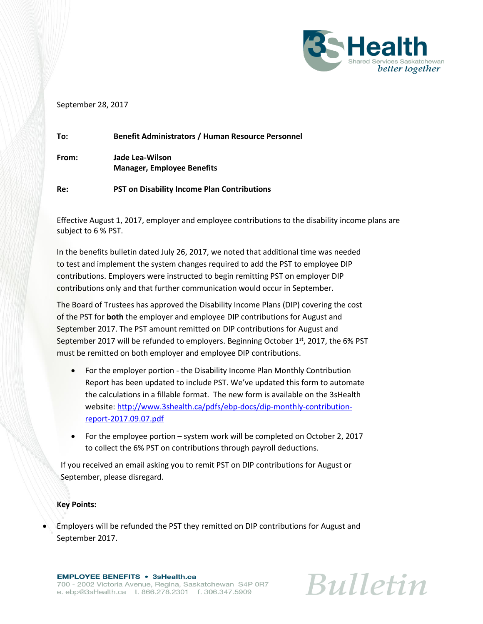

## September 28, 2017

| To:   | <b>Benefit Administrators / Human Resource Personnel</b> |
|-------|----------------------------------------------------------|
| From: | Jade Lea-Wilson<br><b>Manager, Employee Benefits</b>     |
| Re:   | <b>PST on Disability Income Plan Contributions</b>       |

Effective August 1, 2017, employer and employee contributions to the disability income plans are subject to 6 % PST.

In the benefits bulletin dated July 26, 2017, we noted that additional time was needed to test and implement the system changes required to add the PST to employee DIP contributions. Employers were instructed to begin remitting PST on employer DIP contributions only and that further communication would occur in September.

The Board of Trustees has approved the Disability Income Plans (DIP) covering the cost of the PST for **both** the employer and employee DIP contributions for August and September 2017. The PST amount remitted on DIP contributions for August and September 2017 will be refunded to employers. Beginning October  $1<sup>st</sup>$ , 2017, the 6% PST must be remitted on both employer and employee DIP contributions.

- For the employer portion the Disability Income Plan Monthly Contribution Report has been updated to include PST. We've updated this form to automate the calculations in a fillable format. The new form is available on the 3sHealth website[: http://www.3shealth.ca/pdfs/ebp-docs/dip-monthly-contribution](http://www.3shealth.ca/pdfs/ebp-docs/dip-monthly-contribution-report-2017.09.07.pdf)[report-2017.09.07.pdf](http://www.3shealth.ca/pdfs/ebp-docs/dip-monthly-contribution-report-2017.09.07.pdf)
- For the employee portion system work will be completed on October 2, 2017 to collect the 6% PST on contributions through payroll deductions.

If you received an email asking you to remit PST on DIP contributions for August or September, please disregard.

## **Key Points:**

 Employers will be refunded the PST they remitted on DIP contributions for August and September 2017.